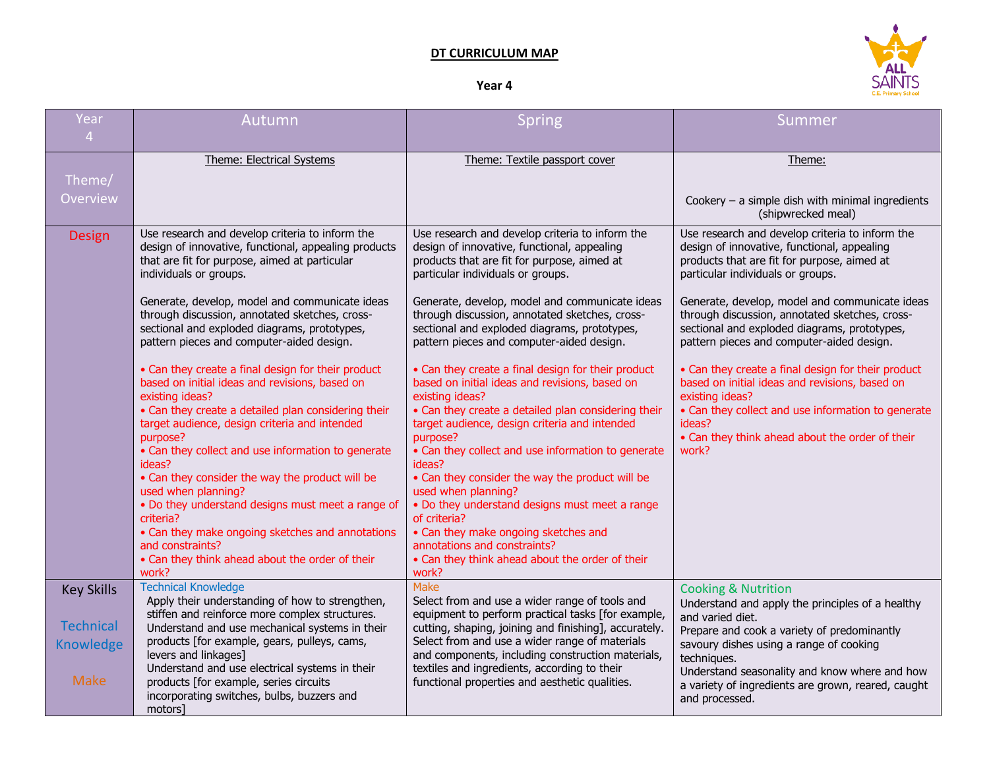## **DT CURRICULUM MAP**

## **Year 4**



| Year<br>$\overline{4}$                       | Autumn                                                                                                                                                                                                                                                                                                                                                                                                                                                                                                                                                                                      | <b>Spring</b>                                                                                                                                                                                                                                                                                                                                                                                                                                                                                                                                                                               | Summer                                                                                                                                                                                                                                                                               |
|----------------------------------------------|---------------------------------------------------------------------------------------------------------------------------------------------------------------------------------------------------------------------------------------------------------------------------------------------------------------------------------------------------------------------------------------------------------------------------------------------------------------------------------------------------------------------------------------------------------------------------------------------|---------------------------------------------------------------------------------------------------------------------------------------------------------------------------------------------------------------------------------------------------------------------------------------------------------------------------------------------------------------------------------------------------------------------------------------------------------------------------------------------------------------------------------------------------------------------------------------------|--------------------------------------------------------------------------------------------------------------------------------------------------------------------------------------------------------------------------------------------------------------------------------------|
|                                              | <b>Theme: Electrical Systems</b>                                                                                                                                                                                                                                                                                                                                                                                                                                                                                                                                                            | Theme: Textile passport cover                                                                                                                                                                                                                                                                                                                                                                                                                                                                                                                                                               | Theme:                                                                                                                                                                                                                                                                               |
| Theme/                                       |                                                                                                                                                                                                                                                                                                                                                                                                                                                                                                                                                                                             |                                                                                                                                                                                                                                                                                                                                                                                                                                                                                                                                                                                             |                                                                                                                                                                                                                                                                                      |
| Overview                                     |                                                                                                                                                                                                                                                                                                                                                                                                                                                                                                                                                                                             |                                                                                                                                                                                                                                                                                                                                                                                                                                                                                                                                                                                             | Cookery $-$ a simple dish with minimal ingredients<br>(shipwrecked meal)                                                                                                                                                                                                             |
| Design                                       | Use research and develop criteria to inform the<br>design of innovative, functional, appealing products<br>that are fit for purpose, aimed at particular<br>individuals or groups.                                                                                                                                                                                                                                                                                                                                                                                                          | Use research and develop criteria to inform the<br>design of innovative, functional, appealing<br>products that are fit for purpose, aimed at<br>particular individuals or groups.                                                                                                                                                                                                                                                                                                                                                                                                          | Use research and develop criteria to inform the<br>design of innovative, functional, appealing<br>products that are fit for purpose, aimed at<br>particular individuals or groups.                                                                                                   |
|                                              | Generate, develop, model and communicate ideas<br>through discussion, annotated sketches, cross-<br>sectional and exploded diagrams, prototypes,<br>pattern pieces and computer-aided design.                                                                                                                                                                                                                                                                                                                                                                                               | Generate, develop, model and communicate ideas<br>through discussion, annotated sketches, cross-<br>sectional and exploded diagrams, prototypes,<br>pattern pieces and computer-aided design.                                                                                                                                                                                                                                                                                                                                                                                               | Generate, develop, model and communicate ideas<br>through discussion, annotated sketches, cross-<br>sectional and exploded diagrams, prototypes,<br>pattern pieces and computer-aided design.                                                                                        |
|                                              | • Can they create a final design for their product<br>based on initial ideas and revisions, based on<br>existing ideas?<br>• Can they create a detailed plan considering their<br>target audience, design criteria and intended<br>purpose?<br>• Can they collect and use information to generate<br>ideas?<br>• Can they consider the way the product will be<br>used when planning?<br>. Do they understand designs must meet a range of<br>criteria?<br>• Can they make ongoing sketches and annotations<br>and constraints?<br>• Can they think ahead about the order of their<br>work? | • Can they create a final design for their product<br>based on initial ideas and revisions, based on<br>existing ideas?<br>• Can they create a detailed plan considering their<br>target audience, design criteria and intended<br>purpose?<br>• Can they collect and use information to generate<br>ideas?<br>• Can they consider the way the product will be<br>used when planning?<br>. Do they understand designs must meet a range<br>of criteria?<br>• Can they make ongoing sketches and<br>annotations and constraints?<br>• Can they think ahead about the order of their<br>work? | • Can they create a final design for their product<br>based on initial ideas and revisions, based on<br>existing ideas?<br>• Can they collect and use information to generate<br>ideas?<br>• Can they think ahead about the order of their<br>work?                                  |
| <b>Key Skills</b>                            | <b>Technical Knowledge</b><br>Apply their understanding of how to strengthen,                                                                                                                                                                                                                                                                                                                                                                                                                                                                                                               | Make<br>Select from and use a wider range of tools and                                                                                                                                                                                                                                                                                                                                                                                                                                                                                                                                      | <b>Cooking &amp; Nutrition</b>                                                                                                                                                                                                                                                       |
| <b>Technical</b><br>Knowledge<br><b>Make</b> | stiffen and reinforce more complex structures.<br>Understand and use mechanical systems in their<br>products [for example, gears, pulleys, cams,<br>levers and linkages]<br>Understand and use electrical systems in their<br>products [for example, series circuits<br>incorporating switches, bulbs, buzzers and                                                                                                                                                                                                                                                                          | equipment to perform practical tasks [for example,<br>cutting, shaping, joining and finishing], accurately.<br>Select from and use a wider range of materials<br>and components, including construction materials,<br>textiles and ingredients, according to their<br>functional properties and aesthetic qualities.                                                                                                                                                                                                                                                                        | Understand and apply the principles of a healthy<br>and varied diet.<br>Prepare and cook a variety of predominantly<br>savoury dishes using a range of cooking<br>techniques.<br>Understand seasonality and know where and how<br>a variety of ingredients are grown, reared, caught |
|                                              | motors]                                                                                                                                                                                                                                                                                                                                                                                                                                                                                                                                                                                     |                                                                                                                                                                                                                                                                                                                                                                                                                                                                                                                                                                                             | and processed.                                                                                                                                                                                                                                                                       |